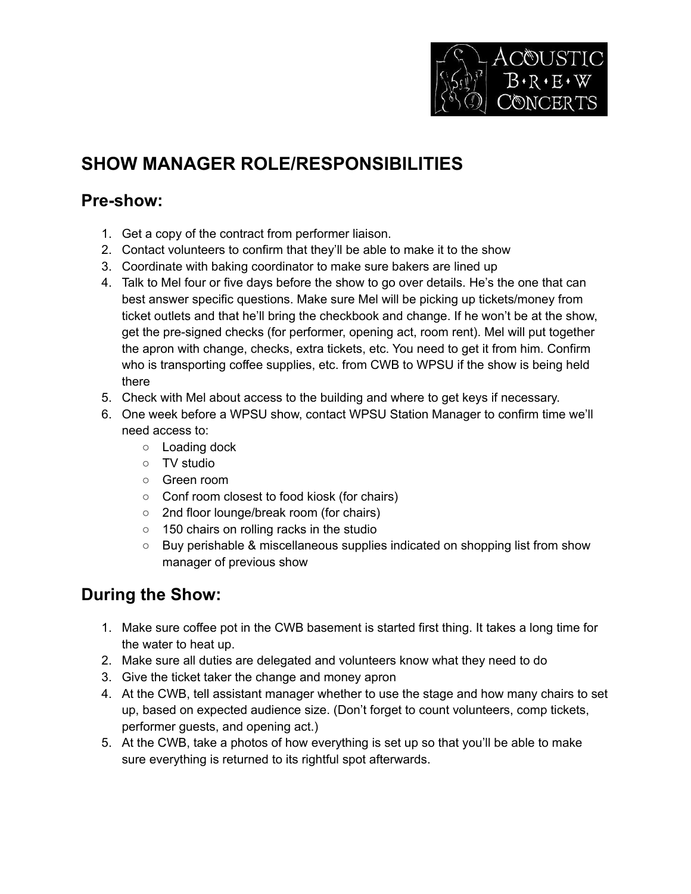

# **SHOW MANAGER ROLE/RESPONSIBILITIES**

#### **Pre-show:**

- 1. Get a copy of the contract from performer liaison.
- 2. Contact volunteers to confirm that they'll be able to make it to the show
- 3. Coordinate with baking coordinator to make sure bakers are lined up
- 4. Talk to Mel four or five days before the show to go over details. He's the one that can best answer specific questions. Make sure Mel will be picking up tickets/money from ticket outlets and that he'll bring the checkbook and change. If he won't be at the show, get the pre-signed checks (for performer, opening act, room rent). Mel will put together the apron with change, checks, extra tickets, etc. You need to get it from him. Confirm who is transporting coffee supplies, etc. from CWB to WPSU if the show is being held there
- 5. Check with Mel about access to the building and where to get keys if necessary.
- 6. One week before a WPSU show, contact WPSU Station Manager to confirm time we'll need access to:
	- o Loading dock
	- TV studio
	- Green room
	- Conf room closest to food kiosk (for chairs)
	- 2nd floor lounge/break room (for chairs)
	- 150 chairs on rolling racks in the studio
	- Buy perishable & miscellaneous supplies indicated on shopping list from show manager of previous show

## **During the Show:**

- 1. Make sure coffee pot in the CWB basement is started first thing. It takes a long time for the water to heat up.
- 2. Make sure all duties are delegated and volunteers know what they need to do
- 3. Give the ticket taker the change and money apron
- 4. At the CWB, tell assistant manager whether to use the stage and how many chairs to set up, based on expected audience size. (Don't forget to count volunteers, comp tickets, performer guests, and opening act.)
- 5. At the CWB, take a photos of how everything is set up so that you'll be able to make sure everything is returned to its rightful spot afterwards.